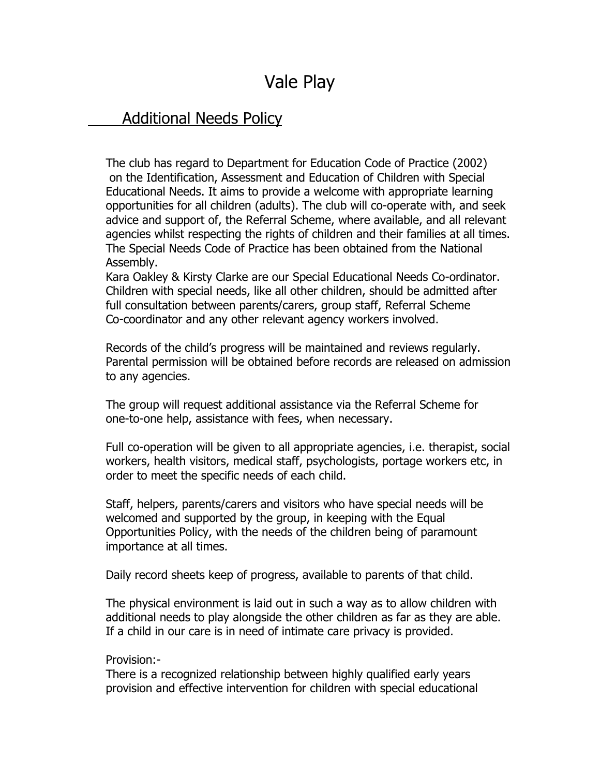## Vale Play

## Additional Needs Policy

The club has regard to Department for Education Code of Practice (2002) on the Identification, Assessment and Education of Children with Special Educational Needs. It aims to provide a welcome with appropriate learning opportunities for all children (adults). The club will co-operate with, and seek advice and support of, the Referral Scheme, where available, and all relevant agencies whilst respecting the rights of children and their families at all times. The Special Needs Code of Practice has been obtained from the National Assembly.

Kara Oakley & Kirsty Clarke are our Special Educational Needs Co-ordinator. Children with special needs, like all other children, should be admitted after full consultation between parents/carers, group staff, Referral Scheme Co-coordinator and any other relevant agency workers involved.

Records of the child's progress will be maintained and reviews regularly. Parental permission will be obtained before records are released on admission to any agencies.

The group will request additional assistance via the Referral Scheme for one-to-one help, assistance with fees, when necessary.

Full co-operation will be given to all appropriate agencies, i.e. therapist, social workers, health visitors, medical staff, psychologists, portage workers etc, in order to meet the specific needs of each child.

Staff, helpers, parents/carers and visitors who have special needs will be welcomed and supported by the group, in keeping with the Equal Opportunities Policy, with the needs of the children being of paramount importance at all times.

Daily record sheets keep of progress, available to parents of that child.

The physical environment is laid out in such a way as to allow children with additional needs to play alongside the other children as far as they are able. If a child in our care is in need of intimate care privacy is provided.

## Provision:-

There is a recognized relationship between highly qualified early years provision and effective intervention for children with special educational